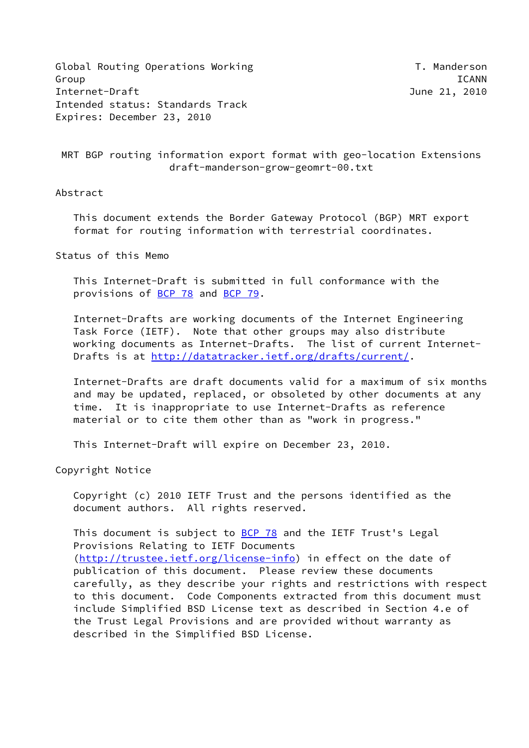Global Routing Operations Working T. Manderson Group ICANN Internet-Draft June 21, 2010 Intended status: Standards Track Expires: December 23, 2010

```
 MRT BGP routing information export format with geo-location Extensions
       draft-manderson-grow-geomrt-00.txt
```
### Abstract

 This document extends the Border Gateway Protocol (BGP) MRT export format for routing information with terrestrial coordinates.

Status of this Memo

 This Internet-Draft is submitted in full conformance with the provisions of [BCP 78](https://datatracker.ietf.org/doc/pdf/bcp78) and [BCP 79](https://datatracker.ietf.org/doc/pdf/bcp79).

 Internet-Drafts are working documents of the Internet Engineering Task Force (IETF). Note that other groups may also distribute working documents as Internet-Drafts. The list of current Internet- Drafts is at<http://datatracker.ietf.org/drafts/current/>.

 Internet-Drafts are draft documents valid for a maximum of six months and may be updated, replaced, or obsoleted by other documents at any time. It is inappropriate to use Internet-Drafts as reference material or to cite them other than as "work in progress."

This Internet-Draft will expire on December 23, 2010.

Copyright Notice

 Copyright (c) 2010 IETF Trust and the persons identified as the document authors. All rights reserved.

This document is subject to **[BCP 78](https://datatracker.ietf.org/doc/pdf/bcp78)** and the IETF Trust's Legal Provisions Relating to IETF Documents [\(http://trustee.ietf.org/license-info](http://trustee.ietf.org/license-info)) in effect on the date of publication of this document. Please review these documents carefully, as they describe your rights and restrictions with respect to this document. Code Components extracted from this document must include Simplified BSD License text as described in Section 4.e of the Trust Legal Provisions and are provided without warranty as described in the Simplified BSD License.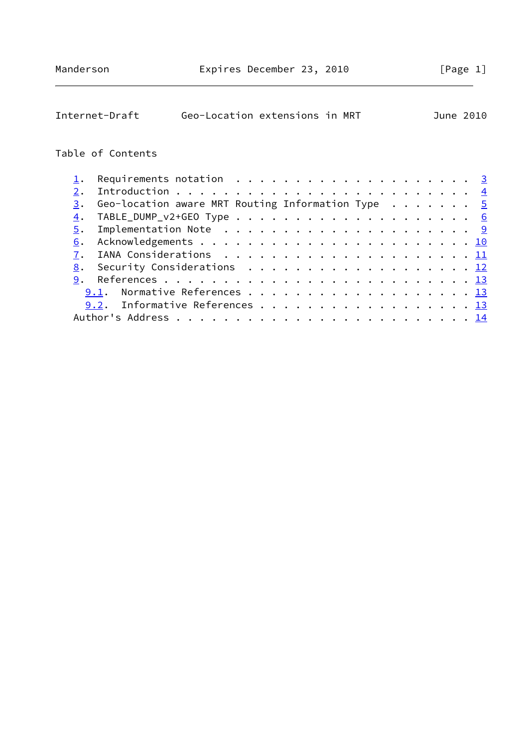| Internet-Draft                                                                                     | Geo-Location extensions in MRT |  |  |  |  |  |  | June 2010 |  |  |  |  |  |  |  |
|----------------------------------------------------------------------------------------------------|--------------------------------|--|--|--|--|--|--|-----------|--|--|--|--|--|--|--|
| Table of Contents                                                                                  |                                |  |  |  |  |  |  |           |  |  |  |  |  |  |  |
| Requirements notation $\dots \dots \dots \dots \dots \dots \dots \dots$<br>$\mathtt{\mathtt{i}}$ . |                                |  |  |  |  |  |  |           |  |  |  |  |  |  |  |
| 2.                                                                                                 |                                |  |  |  |  |  |  |           |  |  |  |  |  |  |  |
| Geo-location aware MRT Routing Information Type $\cdots \cdots$<br>3.                              |                                |  |  |  |  |  |  |           |  |  |  |  |  |  |  |
| $\overline{4}$ .                                                                                   |                                |  |  |  |  |  |  |           |  |  |  |  |  |  |  |
| Implementation Note $\ldots \ldots \ldots \ldots \ldots \ldots \ldots \frac{9}{2}$<br>5.           |                                |  |  |  |  |  |  |           |  |  |  |  |  |  |  |
| 6.                                                                                                 |                                |  |  |  |  |  |  |           |  |  |  |  |  |  |  |
| 7.                                                                                                 |                                |  |  |  |  |  |  |           |  |  |  |  |  |  |  |
| Security Considerations 12<br>8.                                                                   |                                |  |  |  |  |  |  |           |  |  |  |  |  |  |  |
| 9.                                                                                                 |                                |  |  |  |  |  |  |           |  |  |  |  |  |  |  |
| 9.1.                                                                                               |                                |  |  |  |  |  |  |           |  |  |  |  |  |  |  |
| Informative References 13<br>9.2.                                                                  |                                |  |  |  |  |  |  |           |  |  |  |  |  |  |  |
|                                                                                                    |                                |  |  |  |  |  |  |           |  |  |  |  |  |  |  |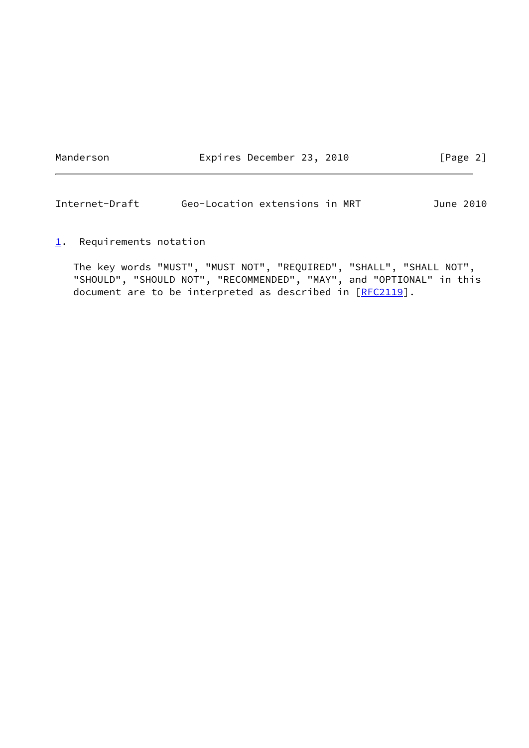Manderson **Expires December 23, 2010** [Page 2]

<span id="page-2-1"></span>Internet-Draft Geo-Location extensions in MRT June 2010

<span id="page-2-0"></span> $1.$  $1.$  Requirements notation

 The key words "MUST", "MUST NOT", "REQUIRED", "SHALL", "SHALL NOT", "SHOULD", "SHOULD NOT", "RECOMMENDED", "MAY", and "OPTIONAL" in this document are to be interpreted as described in  $[REC2119]$ .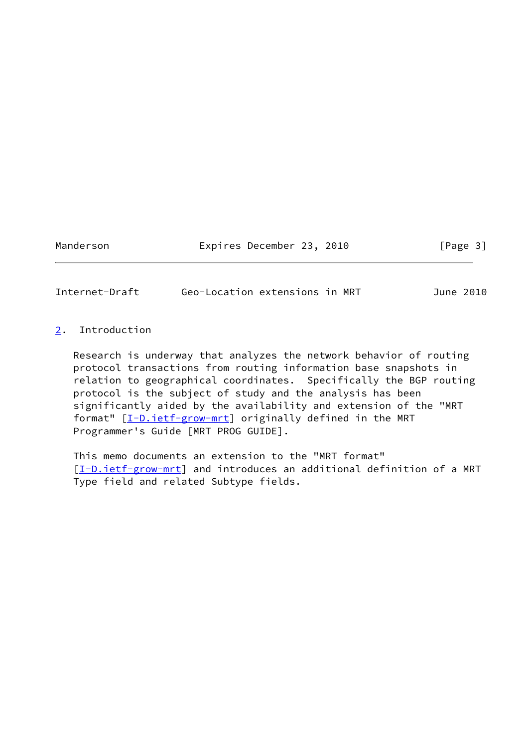Manderson **Expires December 23, 2010** [Page 3]

<span id="page-3-1"></span>Internet-Draft Geo-Location extensions in MRT June 2010

# <span id="page-3-0"></span>[2](#page-3-0). Introduction

 Research is underway that analyzes the network behavior of routing protocol transactions from routing information base snapshots in relation to geographical coordinates. Specifically the BGP routing protocol is the subject of study and the analysis has been significantly aided by the availability and extension of the "MRT format" [\[I-D.ietf-grow-mrt](#page-13-3)] originally defined in the MRT Programmer's Guide [MRT PROG GUIDE].

 This memo documents an extension to the "MRT format" [\[I-D.ietf-grow-mrt](#page-13-3)] and introduces an additional definition of a MRT Type field and related Subtype fields.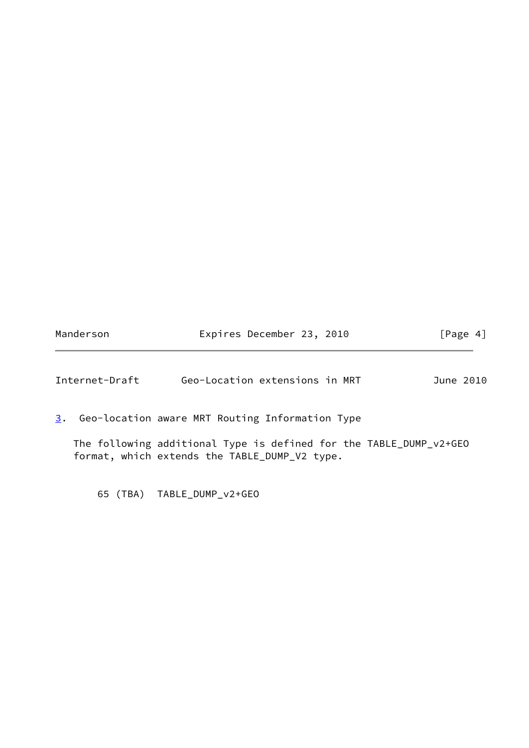| Manderson | Expires December 23, 2010 | [Page 4] |
|-----------|---------------------------|----------|
|-----------|---------------------------|----------|

<span id="page-4-1"></span>

| Geo-Location extensions in MRT<br>Internet-Draft<br>June 2010 |  |
|---------------------------------------------------------------|--|
|---------------------------------------------------------------|--|

<span id="page-4-0"></span>[3](#page-4-0). Geo-location aware MRT Routing Information Type

 The following additional Type is defined for the TABLE\_DUMP\_v2+GEO format, which extends the TABLE\_DUMP\_V2 type.

65 (TBA) TABLE\_DUMP\_v2+GEO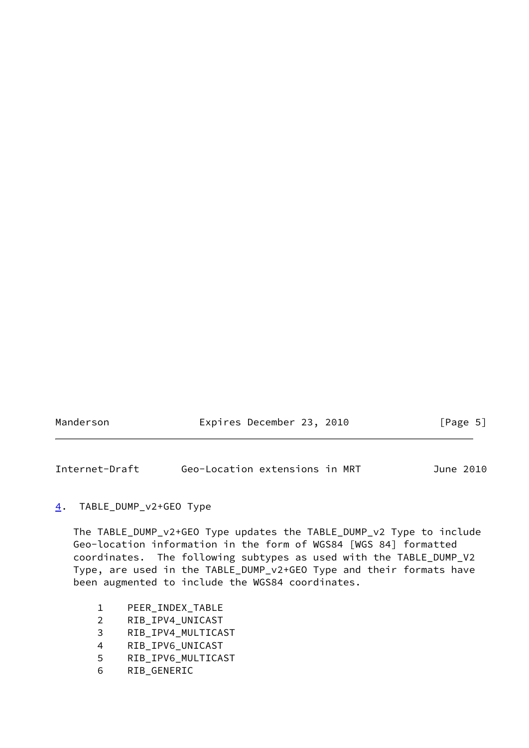<span id="page-5-1"></span>

| Manderson | Expires December 23, 2010 |  | [Page 5] |  |
|-----------|---------------------------|--|----------|--|
|           |                           |  |          |  |

### <span id="page-5-0"></span>[4](#page-5-0). TABLE\_DUMP\_v2+GEO Type

 The TABLE\_DUMP\_v2+GEO Type updates the TABLE\_DUMP\_v2 Type to include Geo-location information in the form of WGS84 [WGS 84] formatted coordinates. The following subtypes as used with the TABLE\_DUMP\_V2 Type, are used in the TABLE\_DUMP\_v2+GEO Type and their formats have been augmented to include the WGS84 coordinates.

- 1 PEER\_INDEX\_TABLE
- 2 RIB\_IPV4\_UNICAST
- 3 RIB\_IPV4\_MULTICAST
- 4 RIB\_IPV6\_UNICAST
- 5 RIB\_IPV6\_MULTICAST
- 6 RIB\_GENERIC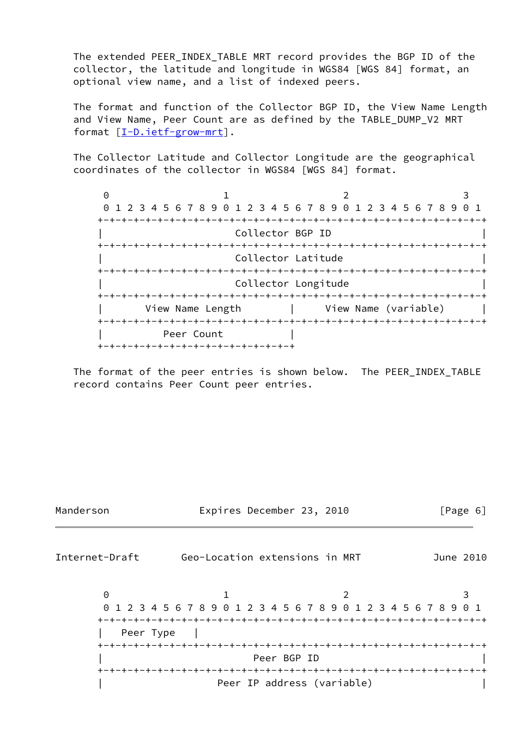The extended PEER\_INDEX\_TABLE MRT record provides the BGP ID of the collector, the latitude and longitude in WGS84 [WGS 84] format, an optional view name, and a list of indexed peers.

 The format and function of the Collector BGP ID, the View Name Length and View Name, Peer Count are as defined by the TABLE\_DUMP\_V2 MRT format [\[I-D.ietf-grow-mrt](#page-13-3)].

 The Collector Latitude and Collector Longitude are the geographical coordinates of the collector in WGS84 [WGS 84] format.

 $0$  1 2 3 0 1 2 3 4 5 6 7 8 9 0 1 2 3 4 5 6 7 8 9 0 1 2 3 4 5 6 7 8 9 0 1 +-+-+-+-+-+-+-+-+-+-+-+-+-+-+-+-+-+-+-+-+-+-+-+-+-+-+-+-+-+-+-+-+ Collector BGP ID +-+-+-+-+-+-+-+-+-+-+-+-+-+-+-+-+-+-+-+-+-+-+-+-+-+-+-+-+-+-+-+-+ Collector Latitude +-+-+-+-+-+-+-+-+-+-+-+-+-+-+-+-+-+-+-+-+-+-+-+-+-+-+-+-+-+-+-+-+ Collector Longitude +-+-+-+-+-+-+-+-+-+-+-+-+-+-+-+-+-+-+-+-+-+-+-+-+-+-+-+-+-+-+-+-+ View Name Length | View Name (variable) +-+-+-+-+-+-+-+-+-+-+-+-+-+-+-+-+-+-+-+-+-+-+-+-+-+-+-+-+-+-+-+-+ Peer Count +-+-+-+-+-+-+-+-+-+-+-+-+-+-+-+-+

 The format of the peer entries is shown below. The PEER\_INDEX\_TABLE record contains Peer Count peer entries.

Manderson Expires December 23, 2010 [Page 6] Internet-Draft Geo-Location extensions in MRT June 2010  $0$  1 2 3 0 1 2 3 4 5 6 7 8 9 0 1 2 3 4 5 6 7 8 9 0 1 2 3 4 5 6 7 8 9 0 1 +-+-+-+-+-+-+-+-+-+-+-+-+-+-+-+-+-+-+-+-+-+-+-+-+-+-+-+-+-+-+-+-+ Peer Type | +-+-+-+-+-+-+-+-+-+-+-+-+-+-+-+-+-+-+-+-+-+-+-+-+-+-+-+-+-+-+-+-+ Peer BGP ID +-+-+-+-+-+-+-+-+-+-+-+-+-+-+-+-+-+-+-+-+-+-+-+-+-+-+-+-+-+-+-+-+ Peer IP address (variable)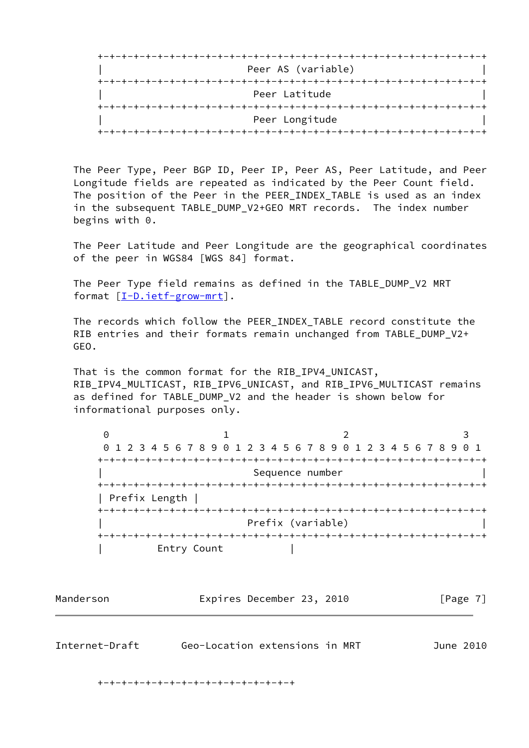

 The Peer Type, Peer BGP ID, Peer IP, Peer AS, Peer Latitude, and Peer Longitude fields are repeated as indicated by the Peer Count field. The position of the Peer in the PEER\_INDEX\_TABLE is used as an index in the subsequent TABLE\_DUMP\_V2+GEO MRT records. The index number begins with 0.

 The Peer Latitude and Peer Longitude are the geographical coordinates of the peer in WGS84 [WGS 84] format.

The Peer Type field remains as defined in the TABLE DUMP V2 MRT format [\[I-D.ietf-grow-mrt](#page-13-3)].

 The records which follow the PEER\_INDEX\_TABLE record constitute the RIB entries and their formats remain unchanged from TABLE\_DUMP\_V2+ GEO.

 That is the common format for the RIB\_IPV4\_UNICAST, RIB\_IPV4\_MULTICAST, RIB\_IPV6\_UNICAST, and RIB\_IPV6\_MULTICAST remains as defined for TABLE\_DUMP\_V2 and the header is shown below for informational purposes only.

| 0               |                   |                                                                 |
|-----------------|-------------------|-----------------------------------------------------------------|
|                 |                   | 0 1 2 3 4 5 6 7 8 9 0 1 2 3 4 5 6 7 8 9 0 1 2 3 4 5 6 7 8 9 0 1 |
|                 |                   |                                                                 |
|                 | Sequence number   |                                                                 |
| +-+-+-+-+-+-+-+ |                   |                                                                 |
| Prefix Length   |                   |                                                                 |
|                 |                   |                                                                 |
|                 | Prefix (variable) |                                                                 |
|                 |                   |                                                                 |
| Entry Count     |                   |                                                                 |

Manderson **Expires December 23, 2010** [Page 7]

Internet-Draft Geo-Location extensions in MRT June 2010

+-+-+-+-+-+-+-+-+-+-+-+-+-+-+-+-+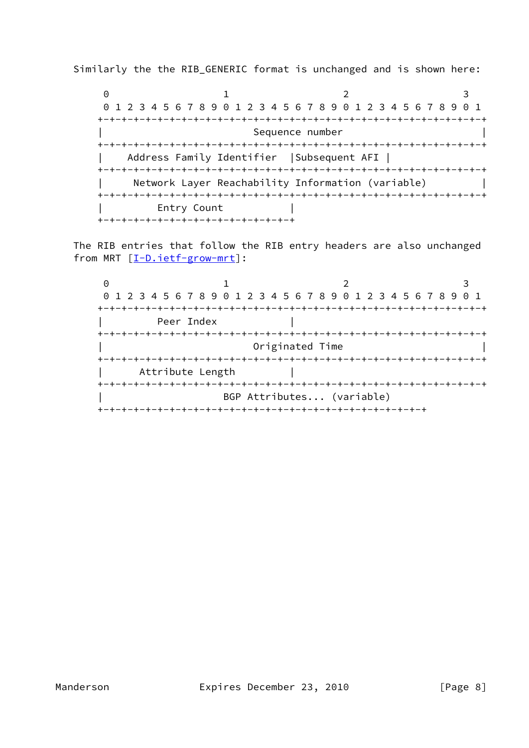Similarly the the RIB\_GENERIC format is unchanged and is shown here:

 $0$  1 2 3 0 1 2 3 4 5 6 7 8 9 0 1 2 3 4 5 6 7 8 9 0 1 2 3 4 5 6 7 8 9 0 1 +-+-+-+-+-+-+-+-+-+-+-+-+-+-+-+-+-+-+-+-+-+-+-+-+-+-+-+-+-+-+-+-+ Sequence number +-+-+-+-+-+-+-+-+-+-+-+-+-+-+-+-+-+-+-+-+-+-+-+-+-+-+-+-+-+-+-+-+ | Address Family Identifier |Subsequent AFI | +-+-+-+-+-+-+-+-+-+-+-+-+-+-+-+-+-+-+-+-+-+-+-+-+-+-+-+-+-+-+-+-+ Network Layer Reachability Information (variable) +-+-+-+-+-+-+-+-+-+-+-+-+-+-+-+-+-+-+-+-+-+-+-+-+-+-+-+-+-+-+-+-+ Entry Count +-+-+-+-+-+-+-+-+-+-+-+-+-+-+-+-+

 The RIB entries that follow the RIB entry headers are also unchanged from MRT [\[I-D.ietf-grow-mrt\]](#page-13-3):

 $0$  1 2 3 0 1 2 3 4 5 6 7 8 9 0 1 2 3 4 5 6 7 8 9 0 1 2 3 4 5 6 7 8 9 0 1 +-+-+-+-+-+-+-+-+-+-+-+-+-+-+-+-+-+-+-+-+-+-+-+-+-+-+-+-+-+-+-+-+ Peer Index | +-+-+-+-+-+-+-+-+-+-+-+-+-+-+-+-+-+-+-+-+-+-+-+-+-+-+-+-+-+-+-+-+ Originated Time +-+-+-+-+-+-+-+-+-+-+-+-+-+-+-+-+-+-+-+-+-+-+-+-+-+-+-+-+-+-+-+-+ Attribute Length +-+-+-+-+-+-+-+-+-+-+-+-+-+-+-+-+-+-+-+-+-+-+-+-+-+-+-+-+-+-+-+-+ BGP Attributes... (variable) +-+-+-+-+-+-+-+-+-+-+-+-+-+-+-+-+-+-+-+-+-+-+-+-+-+-+-+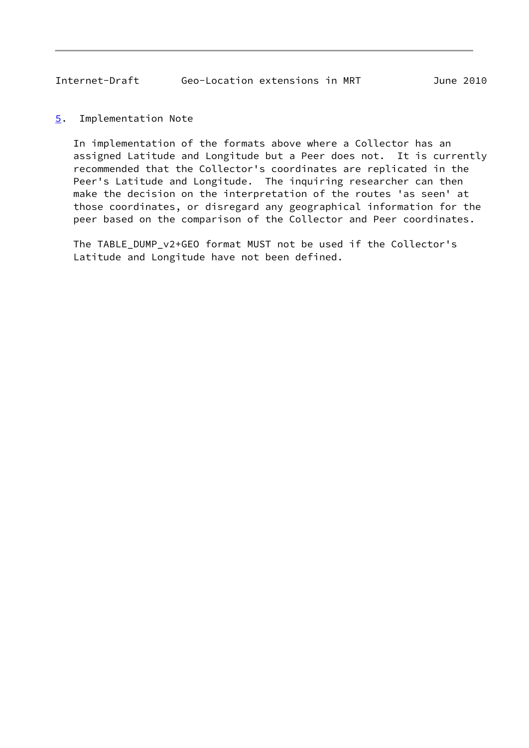#### <span id="page-9-1"></span><span id="page-9-0"></span>[5](#page-9-0). Implementation Note

 In implementation of the formats above where a Collector has an assigned Latitude and Longitude but a Peer does not. It is currently recommended that the Collector's coordinates are replicated in the Peer's Latitude and Longitude. The inquiring researcher can then make the decision on the interpretation of the routes 'as seen' at those coordinates, or disregard any geographical information for the peer based on the comparison of the Collector and Peer coordinates.

 The TABLE\_DUMP\_v2+GEO format MUST not be used if the Collector's Latitude and Longitude have not been defined.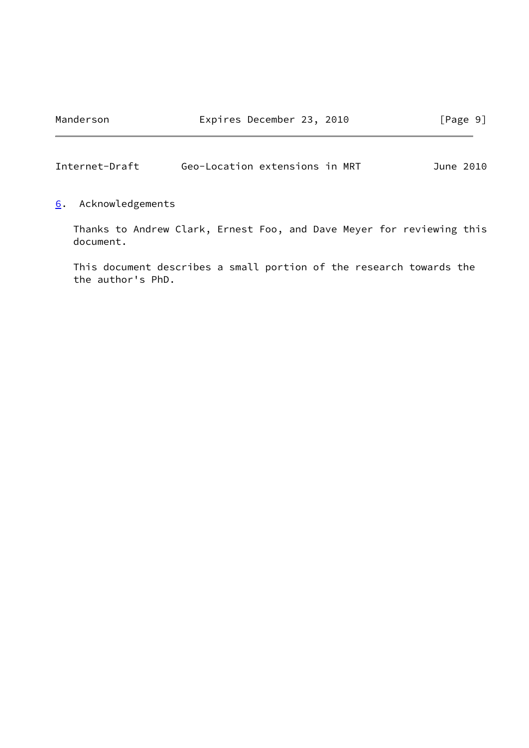<span id="page-10-1"></span>

<span id="page-10-0"></span>[6](#page-10-0). Acknowledgements

 Thanks to Andrew Clark, Ernest Foo, and Dave Meyer for reviewing this document.

 This document describes a small portion of the research towards the the author's PhD.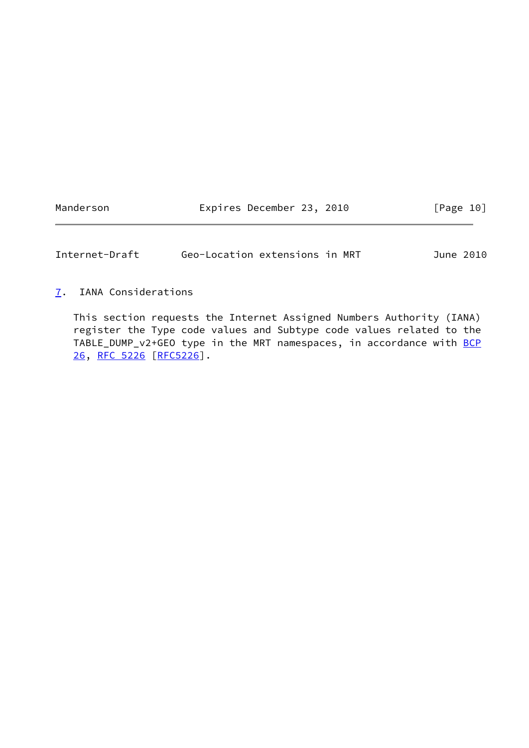Manderson **Expires December 23, 2010** [Page 10]

<span id="page-11-1"></span>Internet-Draft Geo-Location extensions in MRT June 2010

<span id="page-11-0"></span>[7](#page-11-0). IANA Considerations

 This section requests the Internet Assigned Numbers Authority (IANA) register the Type code values and Subtype code values related to the TABLE\_DUMP\_v2+GEO type in the MRT namespaces, in accordance with [BCP](https://datatracker.ietf.org/doc/pdf/bcp26) [26](https://datatracker.ietf.org/doc/pdf/bcp26), [RFC 5226 \[RFC5226](https://datatracker.ietf.org/doc/pdf/rfc5226)].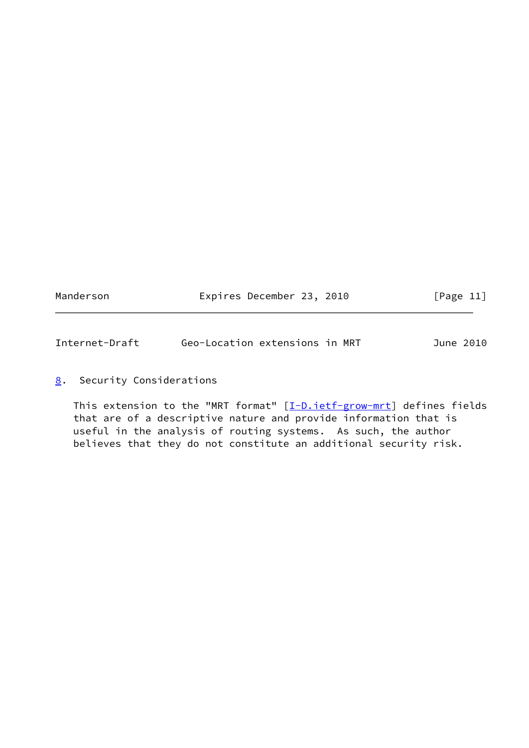<span id="page-12-1"></span>

| Manderson | Expires December 23, 2010 |  | [Page 11] |  |
|-----------|---------------------------|--|-----------|--|
|           |                           |  |           |  |

## <span id="page-12-0"></span>[8](#page-12-0). Security Considerations

This extension to the "MRT format"  $[\underline{I-D.ietf-grow-mrt}]$  defines fields that are of a descriptive nature and provide information that is useful in the analysis of routing systems. As such, the author believes that they do not constitute an additional security risk.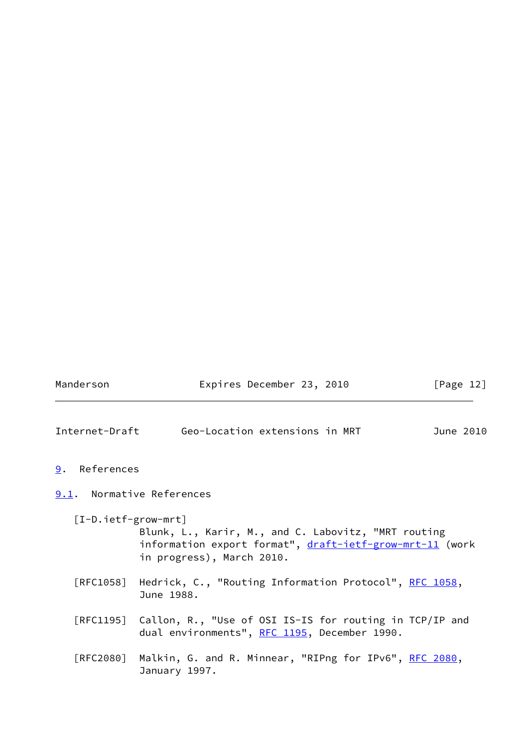<span id="page-13-3"></span><span id="page-13-2"></span><span id="page-13-1"></span><span id="page-13-0"></span>

| Manderson             | Expires December 23, 2010                                                                                                                    | [Page $12$ ] |
|-----------------------|----------------------------------------------------------------------------------------------------------------------------------------------|--------------|
|                       | Internet-Draft Geo-Location extensions in MRT                                                                                                | June 2010    |
| 9.<br>References      |                                                                                                                                              |              |
|                       | 9.1. Normative References                                                                                                                    |              |
| $[I-D.iett-grow-mrt]$ | Blunk, L., Karir, M., and C. Labovitz, "MRT routing<br>information export format", draft-ietf-grow-mrt-11 (work<br>in progress), March 2010. |              |
|                       | [RFC1058] Hedrick, C., "Routing Information Protocol", RFC 1058,<br>June 1988.                                                               |              |
|                       | [RFC1195] Callon, R., "Use of OSI IS-IS for routing in TCP/IP and<br>dual environments", RFC 1195, December 1990.                            |              |
| [RFC2080]             | Malkin, G. and R. Minnear, "RIPng for IPv6", RFC 2080,<br>January 1997.                                                                      |              |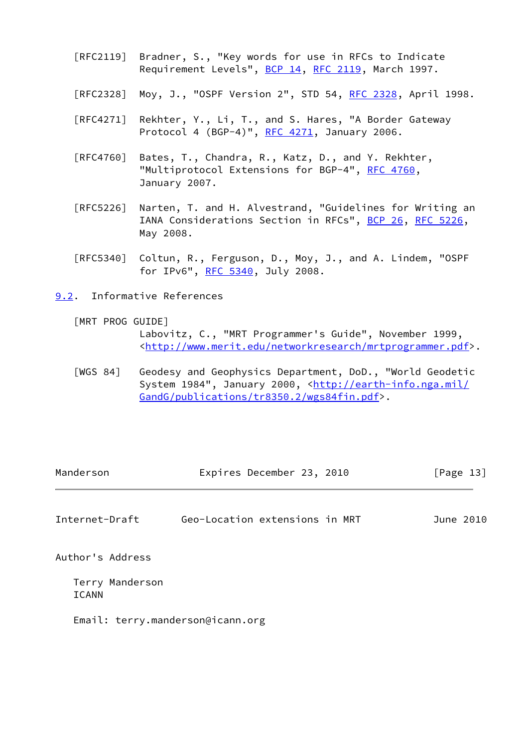- [RFC2119] Bradner, S., "Key words for use in RFCs to Indicate Requirement Levels", [BCP 14](https://datatracker.ietf.org/doc/pdf/bcp14), [RFC 2119](https://datatracker.ietf.org/doc/pdf/rfc2119), March 1997.
- [RFC2328] Moy, J., "OSPF Version 2", STD 54, [RFC 2328](https://datatracker.ietf.org/doc/pdf/rfc2328), April 1998.
- [RFC4271] Rekhter, Y., Li, T., and S. Hares, "A Border Gateway Protocol 4 (BGP-4)", [RFC 4271](https://datatracker.ietf.org/doc/pdf/rfc4271), January 2006.
- [RFC4760] Bates, T., Chandra, R., Katz, D., and Y. Rekhter, "Multiprotocol Extensions for BGP-4", [RFC 4760](https://datatracker.ietf.org/doc/pdf/rfc4760), January 2007.
- [RFC5226] Narten, T. and H. Alvestrand, "Guidelines for Writing an IANA Considerations Section in RFCs", [BCP 26](https://datatracker.ietf.org/doc/pdf/bcp26), [RFC 5226](https://datatracker.ietf.org/doc/pdf/rfc5226), May 2008.
- [RFC5340] Coltun, R., Ferguson, D., Moy, J., and A. Lindem, "OSPF for IPv6", [RFC 5340](https://datatracker.ietf.org/doc/pdf/rfc5340), July 2008.

<span id="page-14-0"></span>[9.2](#page-14-0). Informative References

[MRT PROG GUIDE]

 Labovitz, C., "MRT Programmer's Guide", November 1999, <<http://www.merit.edu/networkresearch/mrtprogrammer.pdf>>.

 [WGS 84] Geodesy and Geophysics Department, DoD., "World Geodetic System 1984", January 2000, [<http://earth-info.nga.mil/](http://earth-info.nga.mil/GandG/publications/tr8350.2/wgs84fin.pdf) [GandG/publications/tr8350.2/wgs84fin.pdf>](http://earth-info.nga.mil/GandG/publications/tr8350.2/wgs84fin.pdf).

<span id="page-14-1"></span>

| Manderson        | Expires December 23, 2010      | [Page 13] |
|------------------|--------------------------------|-----------|
| Internet-Draft   | Geo-Location extensions in MRT | June 2010 |
| Author's Address |                                |           |

 Terry Manderson ICANN

Email: terry.manderson@icann.org